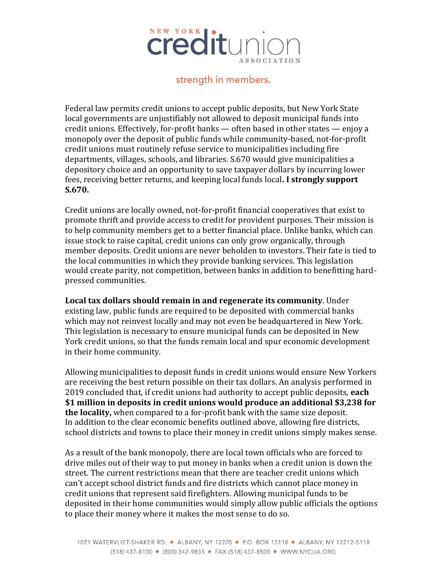

strength in members.

Federal law permits credit unions to accept public deposits, but New York State local governments are unjustifiably not allowed to deposit municipal funds into credit unions. Effectively, for-profit banks — often based in other states — enjoy a monopoly over the deposit of public funds while community-based, not-for-profit credit unions must routinely refuse service to municipalities including fire departments, villages, schools, and libraries. S.670 would give municipalities a depository choice and an opportunity to save taxpayer dollars by incurring lower fees, receiving better returns, and keeping local funds local**. I strongly support S.670.**

Credit unions are locally owned, not-for-profit financial cooperatives that exist to promote thrift and provide access to credit for provident purposes. Their mission is to help community members get to a better financial place. Unlike banks, which can issue stock to raise capital, credit unions can only grow organically, through member deposits. Credit unions are never beholden to investors. Their fate is tied to the local communities in which they provide banking services. This legislation would create parity, not competition, between banks in addition to benefitting hardpressed communities.

**Local tax dollars should remain in and regenerate its community**. Under existing law, public funds are required to be deposited with commercial banks which may not reinvest locally and may not even be headquartered in New York. This legislation is necessary to ensure municipal funds can be deposited in New York credit unions, so that the funds remain local and spur economic development in their home community.

Allowing municipalities to deposit funds in credit unions would ensure New Yorkers are receiving the best return possible on their tax dollars. An analysis performed in 2019 concluded that, if credit unions had authority to accept public deposits, **each \$1 million in deposits in credit unions would produce an additional \$3,238 for the locality,** when compared to a for-profit bank with the same size deposit. In addition to the clear economic benefits outlined above, allowing fire districts, school districts and towns to place their money in credit unions simply makes sense.

As a result of the bank monopoly, there are local town officials who are forced to drive miles out of their way to put money in banks when a credit union is down the street. The current restrictions mean that there are teacher credit unions which can't accept school district funds and fire districts which cannot place money in credit unions that represent said firefighters. Allowing municipal funds to be deposited in their home communities would simply allow public officials the options to place their money where it makes the most sense to do so.